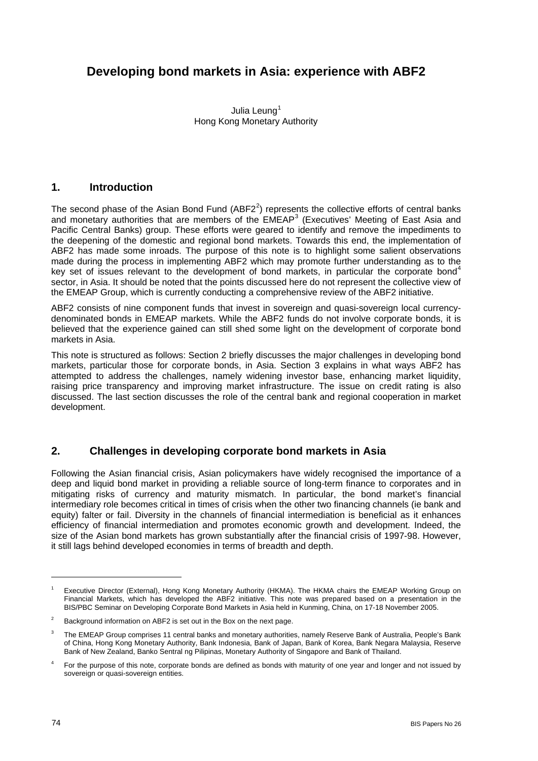**Developing bond markets in Asia: experience with ABF2** 

Julia Leung<sup>[1](#page-0-0)</sup> Hong Kong Monetary Authority

# **1. Introduction**

The second phase of the Asian Bond Fund (ABF[2](#page-0-1)<sup>2</sup>) represents the collective efforts of central banks and monetary authorities that are members of the  $EMEAP<sup>3</sup>$  $EMEAP<sup>3</sup>$  $EMEAP<sup>3</sup>$  (Executives' Meeting of East Asia and Pacific Central Banks) group. These efforts were geared to identify and remove the impediments to the deepening of the domestic and regional bond markets. Towards this end, the implementation of ABF2 has made some inroads. The purpose of this note is to highlight some salient observations made during the process in implementing ABF2 which may promote further understanding as to the key set of issues relevant to the development of bond markets, in particular the corporate bond<sup>[4](#page-0-3)</sup> sector, in Asia. It should be noted that the points discussed here do not represent the collective view of the EMEAP Group, which is currently conducting a comprehensive review of the ABF2 initiative.

ABF2 consists of nine component funds that invest in sovereign and quasi-sovereign local currencydenominated bonds in EMEAP markets. While the ABF2 funds do not involve corporate bonds, it is believed that the experience gained can still shed some light on the development of corporate bond markets in Asia.

This note is structured as follows: Section 2 briefly discusses the major challenges in developing bond markets, particular those for corporate bonds, in Asia. Section 3 explains in what ways ABF2 has attempted to address the challenges, namely widening investor base, enhancing market liquidity, raising price transparency and improving market infrastructure. The issue on credit rating is also discussed. The last section discusses the role of the central bank and regional cooperation in market development.

# **2. Challenges in developing corporate bond markets in Asia**

Following the Asian financial crisis, Asian policymakers have widely recognised the importance of a deep and liquid bond market in providing a reliable source of long-term finance to corporates and in mitigating risks of currency and maturity mismatch. In particular, the bond market's financial intermediary role becomes critical in times of crisis when the other two financing channels (ie bank and equity) falter or fail. Diversity in the channels of financial intermediation is beneficial as it enhances efficiency of financial intermediation and promotes economic growth and development. Indeed, the size of the Asian bond markets has grown substantially after the financial crisis of 1997-98. However, it still lags behind developed economies in terms of breadth and depth.

l

<span id="page-0-0"></span><sup>1</sup> Executive Director (External), Hong Kong Monetary Authority (HKMA). The HKMA chairs the EMEAP Working Group on Financial Markets, which has developed the ABF2 initiative. This note was prepared based on a presentation in the BIS/PBC Seminar on Developing Corporate Bond Markets in Asia held in Kunming, China, on 17-18 November 2005.

<span id="page-0-1"></span><sup>2</sup> Background information on ABF2 is set out in the Box on the next page.

<span id="page-0-2"></span><sup>3</sup> The EMEAP Group comprises 11 central banks and monetary authorities, namely Reserve Bank of Australia, People's Bank of China, Hong Kong Monetary Authority, Bank Indonesia, Bank of Japan, Bank of Korea, Bank Negara Malaysia, Reserve Bank of New Zealand, Banko Sentral ng Pilipinas, Monetary Authority of Singapore and Bank of Thailand.

<span id="page-0-3"></span><sup>4</sup> For the purpose of this note, corporate bonds are defined as bonds with maturity of one year and longer and not issued by sovereign or quasi-sovereign entities.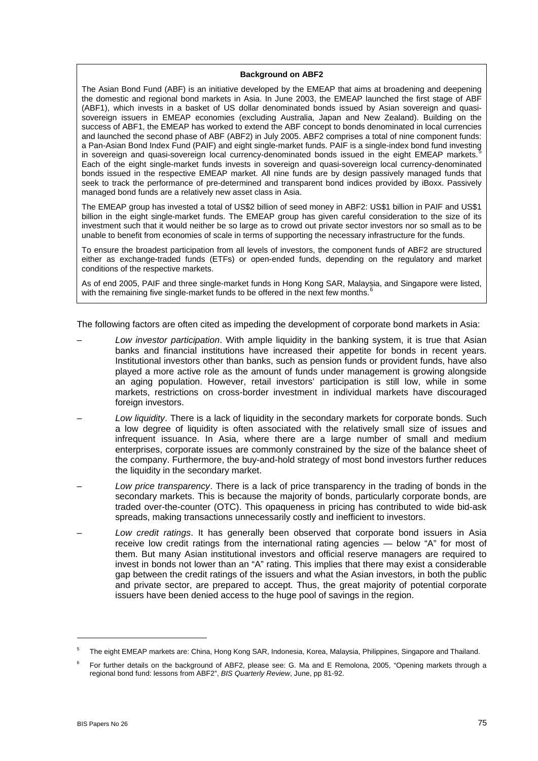#### **Background on ABF2**

The Asian Bond Fund (ABF) is an initiative developed by the EMEAP that aims at broadening and deepening the domestic and regional bond markets in Asia. In June 2003, the EMEAP launched the first stage of ABF (ABF1), which invests in a basket of US dollar denominated bonds issued by Asian sovereign and quasisovereign issuers in EMEAP economies (excluding Australia, Japan and New Zealand). Building on the success of ABF1, the EMEAP has worked to extend the ABF concept to bonds denominated in local currencies and launched the second phase of ABF (ABF2) in July 2005. ABF2 comprises a total of nine component funds: a Pan-Asian Bond Index Fund (PAIF) and eight single-market funds. PAIF is a single-index bond fund investing in sovereign and quasi-sovereign local currency-denominated bonds issued in the eight EMEAP markets. Each of the eight single-market funds invests in sovereign and quasi-sovereign local currency-denominated bonds issued in the respective EMEAP market. All nine funds are by design passively managed funds that seek to track the performance of pre-determined and transparent bond indices provided by iBoxx. Passively managed bond funds are a relatively new asset class in Asia.

The EMEAP group has invested a total of US\$2 billion of seed money in ABF2: US\$1 billion in PAIF and US\$1 billion in the eight single-market funds. The EMEAP group has given careful consideration to the size of its investment such that it would neither be so large as to crowd out private sector investors nor so small as to be unable to benefit from economies of scale in terms of supporting the necessary infrastructure for the funds.

To ensure the broadest participation from all levels of investors, the component funds of ABF2 are structured either as exchange-traded funds (ETFs) or open-ended funds, depending on the regulatory and market conditions of the respective markets.

As of end 2005, PAIF and three single-market funds in Hong Kong SAR, Malaysia, and Singapore were listed, with the remaining five single-market funds to be offered in the next few months.<sup>[6](#page-1-1)</sup>

The following factors are often cited as impeding the development of corporate bond markets in Asia:

- *Low investor participation*. With ample liquidity in the banking system, it is true that Asian banks and financial institutions have increased their appetite for bonds in recent years. Institutional investors other than banks, such as pension funds or provident funds, have also played a more active role as the amount of funds under management is growing alongside an aging population. However, retail investors' participation is still low, while in some markets, restrictions on cross-border investment in individual markets have discouraged foreign investors.
- *Low liquidity*. There is a lack of liquidity in the secondary markets for corporate bonds. Such a low degree of liquidity is often associated with the relatively small size of issues and infrequent issuance. In Asia, where there are a large number of small and medium enterprises, corporate issues are commonly constrained by the size of the balance sheet of the company. Furthermore, the buy-and-hold strategy of most bond investors further reduces the liquidity in the secondary market.
- *Low price transparency*. There is a lack of price transparency in the trading of bonds in the secondary markets. This is because the majority of bonds, particularly corporate bonds, are traded over-the-counter (OTC). This opaqueness in pricing has contributed to wide bid-ask spreads, making transactions unnecessarily costly and inefficient to investors.
- *Low credit ratings*. It has generally been observed that corporate bond issuers in Asia receive low credit ratings from the international rating agencies — below "A" for most of them. But many Asian institutional investors and official reserve managers are required to invest in bonds not lower than an "A" rating. This implies that there may exist a considerable gap between the credit ratings of the issuers and what the Asian investors, in both the public and private sector, are prepared to accept. Thus, the great majority of potential corporate issuers have been denied access to the huge pool of savings in the region.

-

<span id="page-1-0"></span><sup>5</sup> The eight EMEAP markets are: China, Hong Kong SAR, Indonesia, Korea, Malaysia, Philippines, Singapore and Thailand.

<span id="page-1-1"></span><sup>6</sup> For further details on the background of ABF2, please see: G. Ma and E Remolona, 2005, "Opening markets through a regional bond fund: lessons from ABF2", *BIS Quarterly Review*, June, pp 81-92.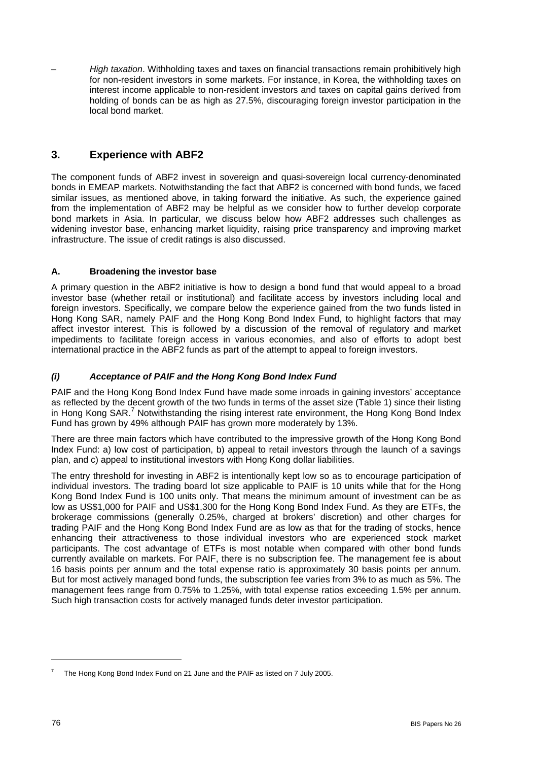– *High taxation*. Withholding taxes and taxes on financial transactions remain prohibitively high for non-resident investors in some markets. For instance, in Korea, the withholding taxes on interest income applicable to non-resident investors and taxes on capital gains derived from holding of bonds can be as high as 27.5%, discouraging foreign investor participation in the local bond market.

# **3. Experience with ABF2**

The component funds of ABF2 invest in sovereign and quasi-sovereign local currency-denominated bonds in EMEAP markets. Notwithstanding the fact that ABF2 is concerned with bond funds, we faced similar issues, as mentioned above, in taking forward the initiative. As such, the experience gained from the implementation of ABF2 may be helpful as we consider how to further develop corporate bond markets in Asia. In particular, we discuss below how ABF2 addresses such challenges as widening investor base, enhancing market liquidity, raising price transparency and improving market infrastructure. The issue of credit ratings is also discussed.

### **A. Broadening the investor base**

A primary question in the ABF2 initiative is how to design a bond fund that would appeal to a broad investor base (whether retail or institutional) and facilitate access by investors including local and foreign investors. Specifically, we compare below the experience gained from the two funds listed in Hong Kong SAR, namely PAIF and the Hong Kong Bond Index Fund, to highlight factors that may affect investor interest. This is followed by a discussion of the removal of regulatory and market impediments to facilitate foreign access in various economies, and also of efforts to adopt best international practice in the ABF2 funds as part of the attempt to appeal to foreign investors.

## *(i) Acceptance of PAIF and the Hong Kong Bond Index Fund*

PAIF and the Hong Kong Bond Index Fund have made some inroads in gaining investors' acceptance as reflected by the decent growth of the two funds in terms of the asset size (Table 1) since their listing in Hong Kong SAR.<sup>[7](#page-2-0)</sup> Notwithstanding the rising interest rate environment, the Hong Kong Bond Index Fund has grown by 49% although PAIF has grown more moderately by 13%.

There are three main factors which have contributed to the impressive growth of the Hong Kong Bond Index Fund: a) low cost of participation, b) appeal to retail investors through the launch of a savings plan, and c) appeal to institutional investors with Hong Kong dollar liabilities.

The entry threshold for investing in ABF2 is intentionally kept low so as to encourage participation of individual investors. The trading board lot size applicable to PAIF is 10 units while that for the Hong Kong Bond Index Fund is 100 units only. That means the minimum amount of investment can be as low as US\$1,000 for PAIF and US\$1,300 for the Hong Kong Bond Index Fund. As they are ETFs, the brokerage commissions (generally 0.25%, charged at brokers' discretion) and other charges for trading PAIF and the Hong Kong Bond Index Fund are as low as that for the trading of stocks, hence enhancing their attractiveness to those individual investors who are experienced stock market participants. The cost advantage of ETFs is most notable when compared with other bond funds currently available on markets. For PAIF, there is no subscription fee. The management fee is about 16 basis points per annum and the total expense ratio is approximately 30 basis points per annum. But for most actively managed bond funds, the subscription fee varies from 3% to as much as 5%. The management fees range from 0.75% to 1.25%, with total expense ratios exceeding 1.5% per annum. Such high transaction costs for actively managed funds deter investor participation.

l

<span id="page-2-0"></span><sup>7</sup> The Hong Kong Bond Index Fund on 21 June and the PAIF as listed on 7 July 2005.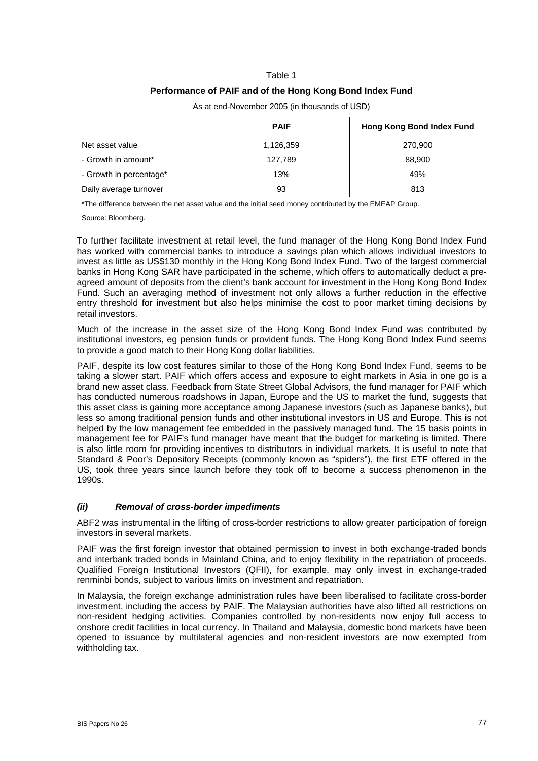#### Table 1

### **Performance of PAIF and of the Hong Kong Bond Index Fund**

|                         | <b>PAIF</b> | <b>Hong Kong Bond Index Fund</b> |
|-------------------------|-------------|----------------------------------|
| Net asset value         | 1,126,359   | 270,900                          |
| - Growth in amount*     | 127,789     | 88,900                           |
| - Growth in percentage* | 13%         | 49%                              |
| Daily average turnover  | 93          | 813                              |

As at end-November 2005 (in thousands of USD)

\*The difference between the net asset value and the initial seed money contributed by the EMEAP Group.

Source: Bloomberg.

To further facilitate investment at retail level, the fund manager of the Hong Kong Bond Index Fund has worked with commercial banks to introduce a savings plan which allows individual investors to invest as little as US\$130 monthly in the Hong Kong Bond Index Fund. Two of the largest commercial banks in Hong Kong SAR have participated in the scheme, which offers to automatically deduct a preagreed amount of deposits from the client's bank account for investment in the Hong Kong Bond Index Fund. Such an averaging method of investment not only allows a further reduction in the effective entry threshold for investment but also helps minimise the cost to poor market timing decisions by retail investors.

Much of the increase in the asset size of the Hong Kong Bond Index Fund was contributed by institutional investors, eg pension funds or provident funds. The Hong Kong Bond Index Fund seems to provide a good match to their Hong Kong dollar liabilities.

PAIF, despite its low cost features similar to those of the Hong Kong Bond Index Fund, seems to be taking a slower start. PAIF which offers access and exposure to eight markets in Asia in one go is a brand new asset class. Feedback from State Street Global Advisors, the fund manager for PAIF which has conducted numerous roadshows in Japan, Europe and the US to market the fund, suggests that this asset class is gaining more acceptance among Japanese investors (such as Japanese banks), but less so among traditional pension funds and other institutional investors in US and Europe. This is not helped by the low management fee embedded in the passively managed fund. The 15 basis points in management fee for PAIF's fund manager have meant that the budget for marketing is limited. There is also little room for providing incentives to distributors in individual markets. It is useful to note that Standard & Poor's Depository Receipts (commonly known as "spiders"), the first ETF offered in the US, took three years since launch before they took off to become a success phenomenon in the 1990s.

### *(ii) Removal of cross-border impediments*

ABF2 was instrumental in the lifting of cross-border restrictions to allow greater participation of foreign investors in several markets.

PAIF was the first foreign investor that obtained permission to invest in both exchange-traded bonds and interbank traded bonds in Mainland China, and to enjoy flexibility in the repatriation of proceeds. Qualified Foreign Institutional Investors (QFII), for example, may only invest in exchange-traded renminbi bonds, subject to various limits on investment and repatriation.

In Malaysia, the foreign exchange administration rules have been liberalised to facilitate cross-border investment, including the access by PAIF. The Malaysian authorities have also lifted all restrictions on non-resident hedging activities. Companies controlled by non-residents now enjoy full access to onshore credit facilities in local currency. In Thailand and Malaysia, domestic bond markets have been opened to issuance by multilateral agencies and non-resident investors are now exempted from withholding tax.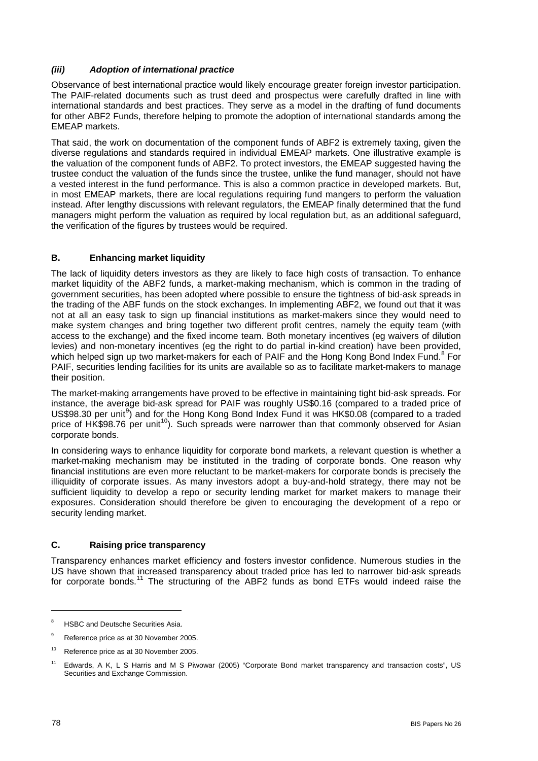### *(iii) Adoption of international practice*

Observance of best international practice would likely encourage greater foreign investor participation. The PAIF-related documents such as trust deed and prospectus were carefully drafted in line with international standards and best practices. They serve as a model in the drafting of fund documents for other ABF2 Funds, therefore helping to promote the adoption of international standards among the EMEAP markets.

That said, the work on documentation of the component funds of ABF2 is extremely taxing, given the diverse regulations and standards required in individual EMEAP markets. One illustrative example is the valuation of the component funds of ABF2. To protect investors, the EMEAP suggested having the trustee conduct the valuation of the funds since the trustee, unlike the fund manager, should not have a vested interest in the fund performance. This is also a common practice in developed markets. But, in most EMEAP markets, there are local regulations requiring fund mangers to perform the valuation instead. After lengthy discussions with relevant regulators, the EMEAP finally determined that the fund managers might perform the valuation as required by local regulation but, as an additional safeguard, the verification of the figures by trustees would be required.

### **B. Enhancing market liquidity**

The lack of liquidity deters investors as they are likely to face high costs of transaction. To enhance market liquidity of the ABF2 funds, a market-making mechanism, which is common in the trading of government securities, has been adopted where possible to ensure the tightness of bid-ask spreads in the trading of the ABF funds on the stock exchanges. In implementing ABF2, we found out that it was not at all an easy task to sign up financial institutions as market-makers since they would need to make system changes and bring together two different profit centres, namely the equity team (with access to the exchange) and the fixed income team. Both monetary incentives (eg waivers of dilution levies) and non-monetary incentives (eg the right to do partial in-kind creation) have been provided, which helped sign up two market-makers for each of PAIF and the Hong Kong Bond Index Fund.<sup>[8](#page-4-0)</sup> For PAIF, securities lending facilities for its units are available so as to facilitate market-makers to manage their position.

The market-making arrangements have proved to be effective in maintaining tight bid-ask spreads. For instance, the average bid-ask spread for PAIF was roughly US\$0.16 (compared to a traded price of US\$[9](#page-4-1)8.30 per unit<sup>9</sup>) and for the Hong Kong Bond Index Fund it was  $HK$0.08$  (compared to a traded price of HK\$98.76 per unit<sup>[10](#page-4-2)</sup>). Such spreads were narrower than that commonly observed for Asian corporate bonds.

In considering ways to enhance liquidity for corporate bond markets, a relevant question is whether a market-making mechanism may be instituted in the trading of corporate bonds. One reason why financial institutions are even more reluctant to be market-makers for corporate bonds is precisely the illiquidity of corporate issues. As many investors adopt a buy-and-hold strategy, there may not be sufficient liquidity to develop a repo or security lending market for market makers to manage their exposures. Consideration should therefore be given to encouraging the development of a repo or security lending market.

### **C. Raising price transparency**

Transparency enhances market efficiency and fosters investor confidence. Numerous studies in the US have shown that increased transparency about traded price has led to narrower bid-ask spreads for corporate bonds.<sup>[1](#page-4-3)1</sup> The structuring of the ABF2 funds as bond ETFs would indeed raise the

l

<span id="page-4-0"></span><sup>8</sup> HSBC and Deutsche Securities Asia.

<span id="page-4-1"></span><sup>9</sup> Reference price as at 30 November 2005.

<span id="page-4-2"></span><sup>&</sup>lt;sup>10</sup> Reference price as at 30 November 2005.

<span id="page-4-3"></span><sup>&</sup>lt;sup>11</sup> Edwards, A K, L S Harris and M S Piwowar (2005) "Corporate Bond market transparency and transaction costs", US Securities and Exchange Commission.